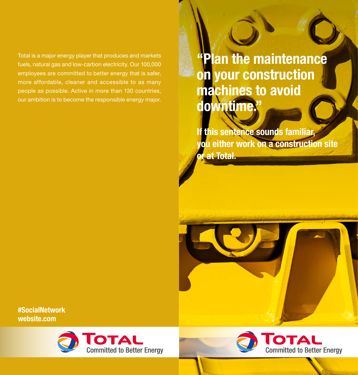Total is a major energy player that produces and markets fuels, natural gas and low-carbon electricity. Our 100,000 employees are committed to better energy that is safer, more affordable, cleaner and accessible to as many people as possible. Active in more than 130 countries, our ambition is to become the responsible energy major.

"Plan the maintenance on your construction machines to avoid downtime."

If this sentence sounds familiar, you either work on a construction site or at Total.